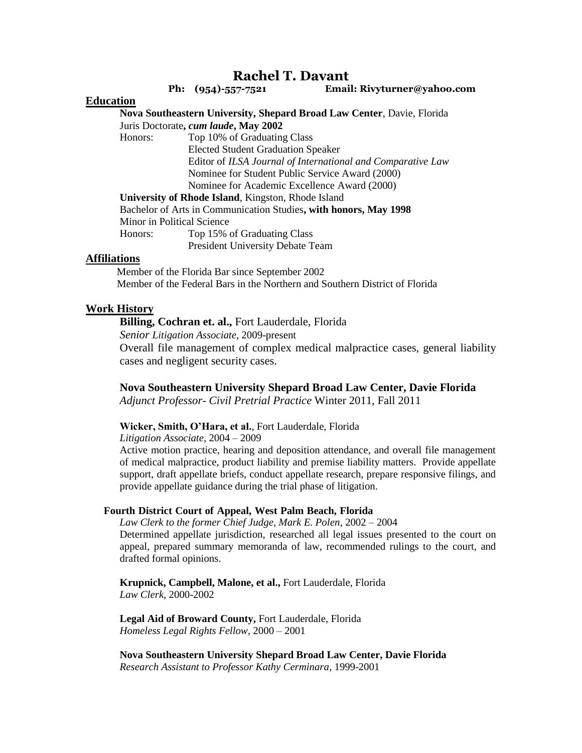# **Rachel T. Davant**

 **Ph: (954)-557-7521 Email: Rivyturner@yahoo.com**

## **Education**

**Nova Southeastern University, Shepard Broad Law Center**, Davie, Florida Juris Doctorate**,** *cum laude***, May 2002**

 Honors: Top 10% of Graduating Class Elected Student Graduation Speaker Editor of *ILSA Journal of International and Comparative Law* Nominee for Student Public Service Award (2000)

Nominee for Academic Excellence Award (2000)

**University of Rhode Island**, Kingston, Rhode Island

Bachelor of Arts in Communication Studies**, with honors, May 1998** Minor in Political Science

Honors: Top 15% of Graduating Class

President University Debate Team

#### **Affiliations**

 Member of the Florida Bar since September 2002 Member of the Federal Bars in the Northern and Southern District of Florida

## **Work History**

**Billing, Cochran et. al.,** Fort Lauderdale, Florida

*Senior Litigation Associate*, 2009-present

Overall file management of complex medical malpractice cases, general liability cases and negligent security cases.

## **Nova Southeastern University Shepard Broad Law Center, Davie Florida**

*Adjunct Professor- Civil Pretrial Practice* Winter 2011, Fall 2011

#### **Wicker, Smith, O'Hara, et al.**, Fort Lauderdale, Florida

*Litigation Associate*, 2004 – 2009

Active motion practice, hearing and deposition attendance, and overall file management of medical malpractice, product liability and premise liability matters. Provide appellate support, draft appellate briefs, conduct appellate research, prepare responsive filings, and provide appellate guidance during the trial phase of litigation.

#### **Fourth District Court of Appeal, West Palm Beach, Florida**

*Law Clerk to the former Chief Judge, Mark E. Polen*, 2002 – 2004 Determined appellate jurisdiction, researched all legal issues presented to the court on appeal, prepared summary memoranda of law, recommended rulings to the court, and drafted formal opinions.

**Krupnick, Campbell, Malone, et al.,** Fort Lauderdale, Florida *Law Clerk*, 2000-2002

**Legal Aid of Broward County,** Fort Lauderdale, Florida *Homeless Legal Rights Fellow*, 2000 – 2001

**Nova Southeastern University Shepard Broad Law Center, Davie Florida**  *Research Assistant to Professor Kathy Cerminara*, 1999-2001